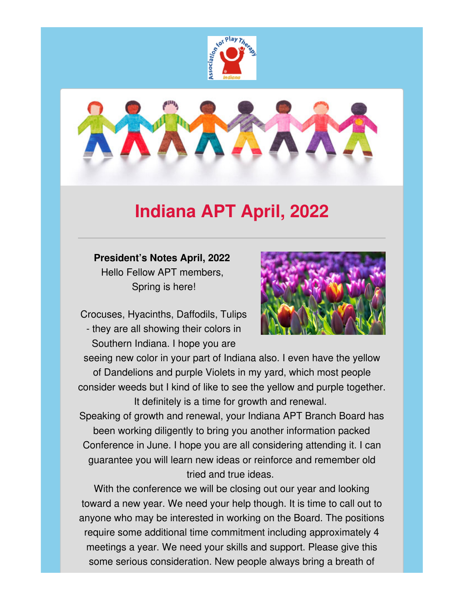



## **Indiana APT April, 2022**

**President's Notes April, 2022** Hello Fellow APT members, Spring is here!

Crocuses, Hyacinths, Daffodils, Tulips - they are all showing their colors in

Southern Indiana. I hope you are

seeing new color in your part of Indiana also. I even have the yellow of Dandelions and purple Violets in my yard, which most people consider weeds but I kind of like to see the yellow and purple together. It definitely is a time for growth and renewal.

Speaking of growth and renewal, your Indiana APT Branch Board has been working diligently to bring you another information packed Conference in June. I hope you are all considering attending it. I can guarantee you will learn new ideas or reinforce and remember old tried and true ideas.

With the conference we will be closing out our year and looking toward a new year. We need your help though. It is time to call out to anyone who may be interested in working on the Board. The positions require some additional time commitment including approximately 4 meetings a year. We need your skills and support. Please give this some serious consideration. New people always bring a breath of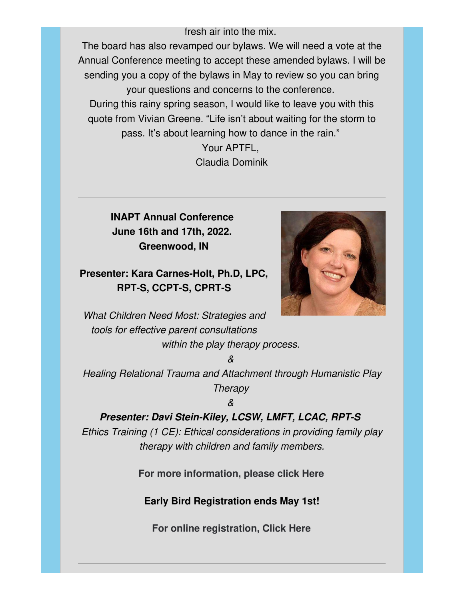fresh air into the mix.

The board has also revamped our bylaws. We will need a vote at the Annual Conference meeting to accept these amended bylaws. I will be sending you a copy of the bylaws in May to review so you can bring your questions and concerns to the conference. During this rainy spring season, I would like to leave you with this

quote from Vivian Greene. "Life isn't about waiting for the storm to pass. It's about learning how to dance in the rain."

Your APTFL, Claudia Dominik

**INAPT Annual Conference June 16th and 17th, 2022. Greenwood, IN**

## **Presenter: Kara Carnes-Holt, Ph.D, LPC, RPT-S, CCPT-S, CPRT-S**



*What Children Need Most: Strategies and tools for effective parent consultations within the play therapy process.*

*&*

*Healing Relational Trauma and Attachment through Humanistic Play Therapy*

*&*

*Presenter: Davi Stein-Kiley, LCSW, LMFT, LCAC, RPT-S Ethics Training (1 CE): Ethical considerations in providing family play therapy with children and family members.*

**For more [information,](http://www.indianaapt.org) please click Here**

**Early Bird Registration ends May 1st!**

**For online [registration,](https://www.eventbrite.com/e/the-27th-annual-indiana-association-for-play-therapy-conference-tickets-269082471917?aff=erelexpmlt) Click Here**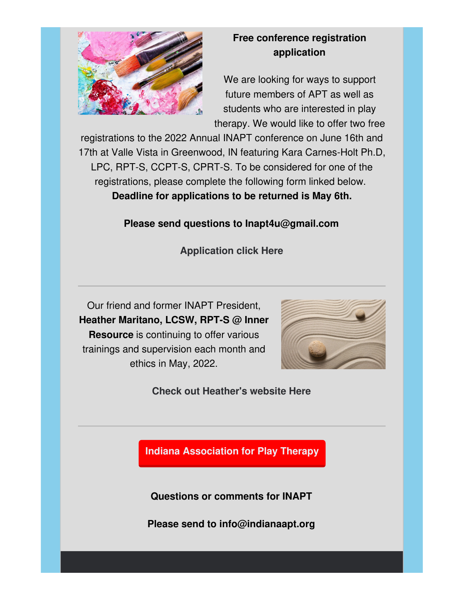

## **Free conference registration application**

We are looking for ways to support future members of APT as well as students who are interested in play therapy. We would like to offer two free

registrations to the 2022 Annual INAPT conference on June 16th and 17th at Valle Vista in Greenwood, IN featuring Kara Carnes-Holt Ph.D, LPC, RPT-S, CCPT-S, CPRT-S. To be considered for one of the registrations, please complete the following form linked below. **Deadline for applications to be returned is May 6th.**

**Please send questions to Inapt4u@gmail.com**

**[Application](https://docs.google.com/forms/d/e/1FAIpQLSeQGPin4uRIz-wa_kZQGWZGARQIyEJftvILgO9owZcM5PTvAQ/viewform?vc=0&c=0&w=1&flr=0&usp=mail_form_link) click Here**

Our friend and former INAPT President, **Heather Maritano, LCSW, RPT-S @ Inner Resource** is continuing to offer various trainings and supervision each month and ethics in May, 2022.



**Check out [Heather's](https://innerresourcestraining.org) website Here**

**Indiana [Association](http://www.indianaapt.org) for Play Therapy**

**Questions or comments for INAPT**

**Please send to info@indianaapt.org**